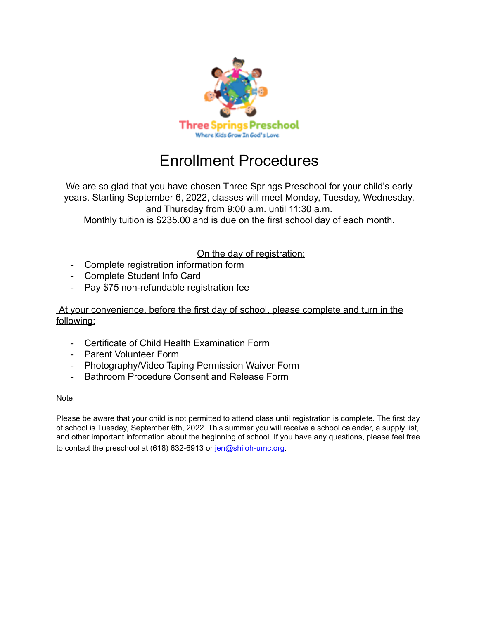

# Enrollment Procedures

We are so glad that you have chosen Three Springs Preschool for your child's early years. Starting September 6, 2022, classes will meet Monday, Tuesday, Wednesday, and Thursday from 9:00 a.m. until 11:30 a.m.

Monthly tuition is \$235.00 and is due on the first school day of each month.

### On the day of registration:

- Complete registration information form
- Complete Student Info Card
- Pay \$75 non-refundable registration fee

### At your convenience, before the first day of school, please complete and turn in the following:

- Certificate of Child Health Examination Form
- Parent Volunteer Form
- Photography/Video Taping Permission Waiver Form
- Bathroom Procedure Consent and Release Form

#### Note:

Please be aware that your child is not permitted to attend class until registration is complete. The first day of school is Tuesday, September 6th, 2022. This summer you will receive a school calendar, a supply list, and other important information about the beginning of school. If you have any questions, please feel free to contact the preschool at (618) 632-6913 or jen@shiloh-umc.org.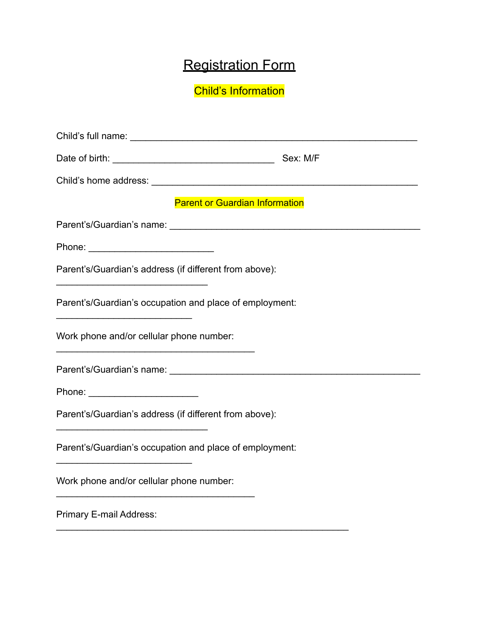# Registration Form

Child's Information

|                                                         | Sex: M/F |  |
|---------------------------------------------------------|----------|--|
|                                                         |          |  |
| <b>Parent or Guardian Information</b>                   |          |  |
|                                                         |          |  |
|                                                         |          |  |
| Parent's/Guardian's address (if different from above):  |          |  |
| Parent's/Guardian's occupation and place of employment: |          |  |
| Work phone and/or cellular phone number:                |          |  |
|                                                         |          |  |
| Phone: <u>_________________________</u>                 |          |  |
| Parent's/Guardian's address (if different from above):  |          |  |
| Parent's/Guardian's occupation and place of employment: |          |  |
| Work phone and/or cellular phone number:                |          |  |
| Primary E-mail Address:                                 |          |  |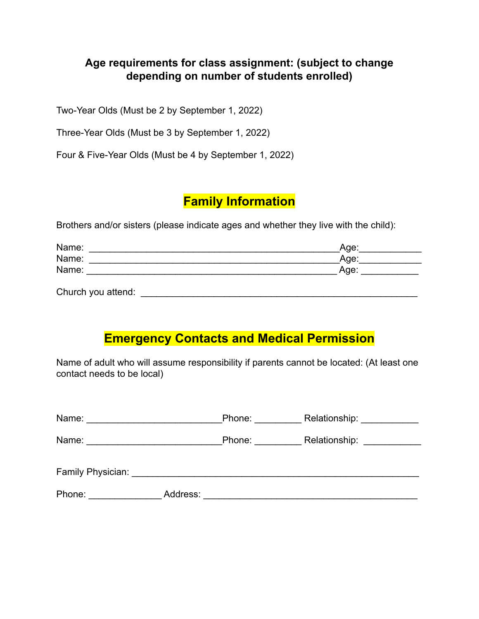### **Age requirements for class assignment: (subject to change depending on number of students enrolled)**

Two-Year Olds (Must be 2 by September 1, 2022)

Three-Year Olds (Must be 3 by September 1, 2022)

Four & Five-Year Olds (Must be 4 by September 1, 2022)

# **Family Information**

Brothers and/or sisters (please indicate ages and whether they live with the child):

| Name: | _Age∴ |
|-------|-------|
| Name: | Age:  |
| Name: | Age:  |
|       |       |

Church you attend: **Example 2018** 

# **Emergency Contacts and Medical Permission**

Name of adult who will assume responsibility if parents cannot be located: (At least one contact needs to be local)

|                   |          | Phone: | Relationship: _____________ |
|-------------------|----------|--------|-----------------------------|
|                   |          | Phone: | Relationship: _____________ |
| Family Physician: |          |        |                             |
| Phone:            | Address: |        |                             |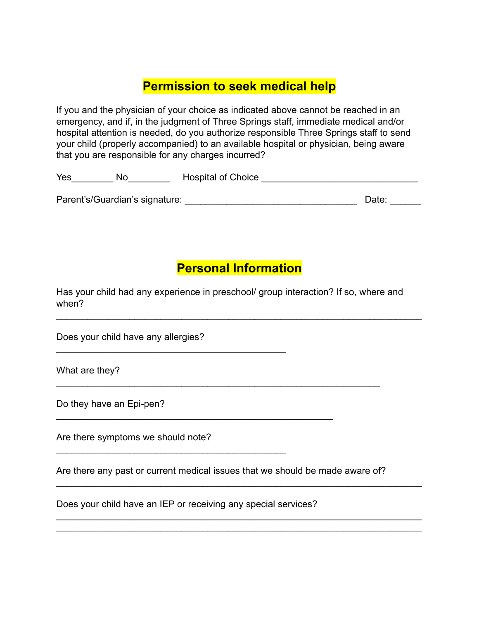# **Permission to seek medical help**

If you and the physician of your choice as indicated above cannot be reached in an emergency, and if, in the judgment of Three Springs staff, immediate medical and/or hospital attention is needed, do you authorize responsible Three Springs staff to send your child (properly accompanied) to an available hospital or physician, being aware that you are responsible for any charges incurred?

| Yes | No | <b>Hospital of Choice</b> |  |
|-----|----|---------------------------|--|
|     |    |                           |  |

Parent's/Guardian's signature: \_\_\_\_\_\_\_\_\_\_\_\_\_\_\_\_\_\_\_\_\_\_\_\_\_\_\_\_\_\_\_\_\_ Date: \_\_\_\_\_\_

## **Personal Information**

 $\mathcal{L}_\text{max} = \mathcal{L}_\text{max} = \mathcal{L}_\text{max} = \mathcal{L}_\text{max} = \mathcal{L}_\text{max} = \mathcal{L}_\text{max} = \mathcal{L}_\text{max} = \mathcal{L}_\text{max} = \mathcal{L}_\text{max} = \mathcal{L}_\text{max} = \mathcal{L}_\text{max} = \mathcal{L}_\text{max} = \mathcal{L}_\text{max} = \mathcal{L}_\text{max} = \mathcal{L}_\text{max} = \mathcal{L}_\text{max} = \mathcal{L}_\text{max} = \mathcal{L}_\text{max} = \mathcal{$ 

Has your child had any experience in preschool/ group interaction? If so, where and when?

Does your child have any allergies?

 $\mathcal{L}_\text{max}$  , which is a set of the set of the set of the set of the set of the set of the set of the set of the set of the set of the set of the set of the set of the set of the set of the set of the set of the set of

\_\_\_\_\_\_\_\_\_\_\_\_\_\_\_\_\_\_\_\_\_\_\_\_\_\_\_\_\_\_\_\_\_\_\_\_\_\_\_\_\_\_\_\_

What are they?

Do they have an Epi-pen?

Are there symptoms we should note?

Are there any past or current medical issues that we should be made aware of?

\_\_\_\_\_\_\_\_\_\_\_\_\_\_\_\_\_\_\_\_\_\_\_\_\_\_\_\_\_\_\_\_\_\_\_\_\_\_\_\_\_\_\_\_\_\_\_\_\_\_\_\_\_\_\_\_\_\_\_\_\_\_\_\_\_\_\_\_\_\_

\_\_\_\_\_\_\_\_\_\_\_\_\_\_\_\_\_\_\_\_\_\_\_\_\_\_\_\_\_\_\_\_\_\_\_\_\_\_\_\_\_\_\_\_\_\_\_\_\_\_\_\_\_\_\_\_\_\_\_\_\_\_\_\_\_\_\_\_\_\_  $\mathcal{L}_\text{max} = \mathcal{L}_\text{max} = \mathcal{L}_\text{max} = \mathcal{L}_\text{max} = \mathcal{L}_\text{max} = \mathcal{L}_\text{max} = \mathcal{L}_\text{max} = \mathcal{L}_\text{max} = \mathcal{L}_\text{max} = \mathcal{L}_\text{max} = \mathcal{L}_\text{max} = \mathcal{L}_\text{max} = \mathcal{L}_\text{max} = \mathcal{L}_\text{max} = \mathcal{L}_\text{max} = \mathcal{L}_\text{max} = \mathcal{L}_\text{max} = \mathcal{L}_\text{max} = \mathcal{$ 

 $\mathcal{L}_\text{max} = \mathcal{L}_\text{max} = \mathcal{L}_\text{max} = \mathcal{L}_\text{max} = \mathcal{L}_\text{max} = \mathcal{L}_\text{max} = \mathcal{L}_\text{max} = \mathcal{L}_\text{max} = \mathcal{L}_\text{max} = \mathcal{L}_\text{max} = \mathcal{L}_\text{max} = \mathcal{L}_\text{max} = \mathcal{L}_\text{max} = \mathcal{L}_\text{max} = \mathcal{L}_\text{max} = \mathcal{L}_\text{max} = \mathcal{L}_\text{max} = \mathcal{L}_\text{max} = \mathcal{$ 

Does your child have an IEP or receiving any special services?

\_\_\_\_\_\_\_\_\_\_\_\_\_\_\_\_\_\_\_\_\_\_\_\_\_\_\_\_\_\_\_\_\_\_\_\_\_\_\_\_\_\_\_\_\_\_\_\_\_\_\_\_\_